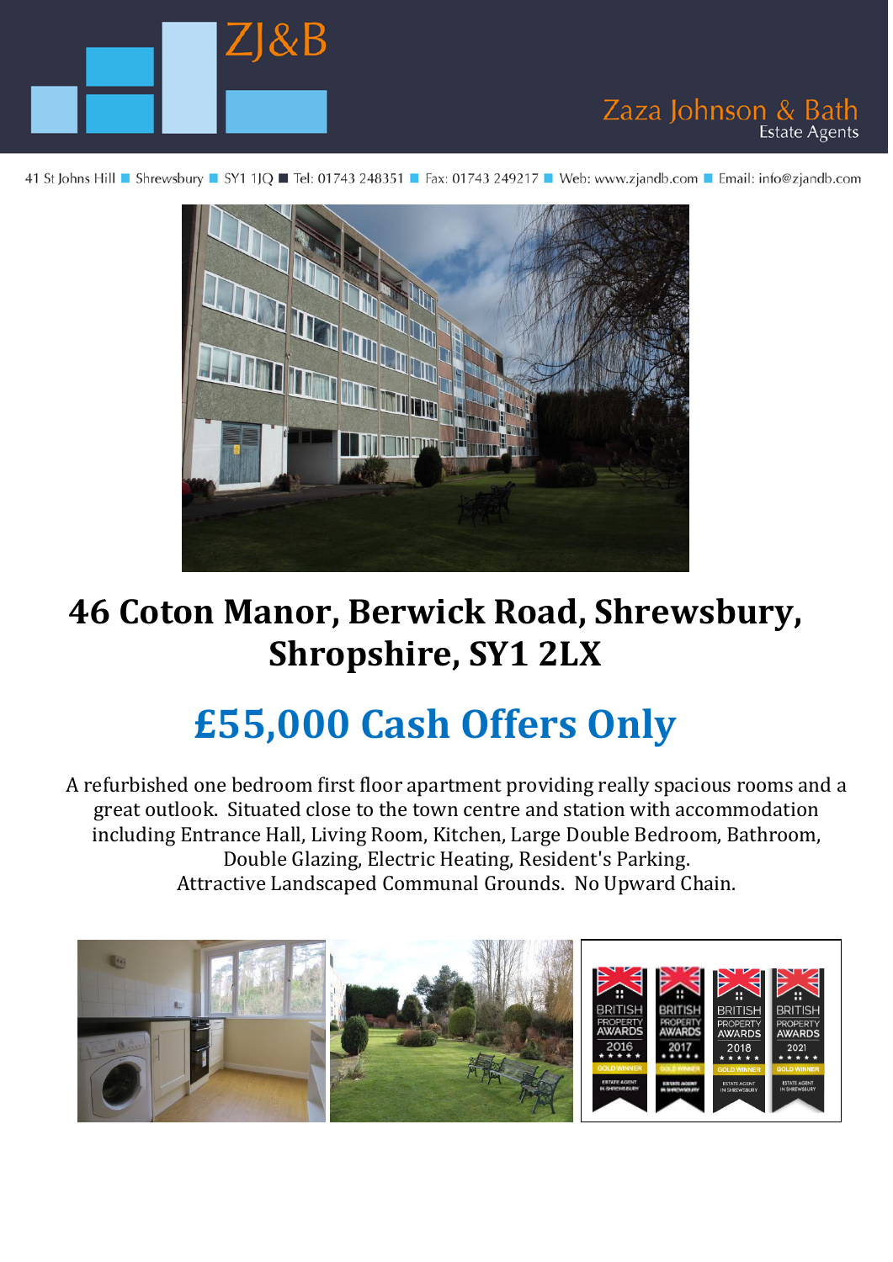

41 St Johns Hill ■ Shrewsbury ■ SY1 1JQ ■ Tel: 01743 248351 ■ Fax: 01743 249217 ■ Web: www.zjandb.com ■ Email: info@zjandb.com

Zaza Johnson & Bath

**Estate Agents** 



# **46 Coton Manor, Berwick Road, Shrewsbury, Shropshire, SY1 2LX**

# **£55,000 Cash Offers Only**

A refurbished one bedroom first floor apartment providing really spacious rooms and a great outlook. Situated close to the town centre and station with accommodation including Entrance Hall, Living Room, Kitchen, Large Double Bedroom, Bathroom, Double Glazing, Electric Heating, Resident's Parking. Attractive Landscaped Communal Grounds. No Upward Chain.

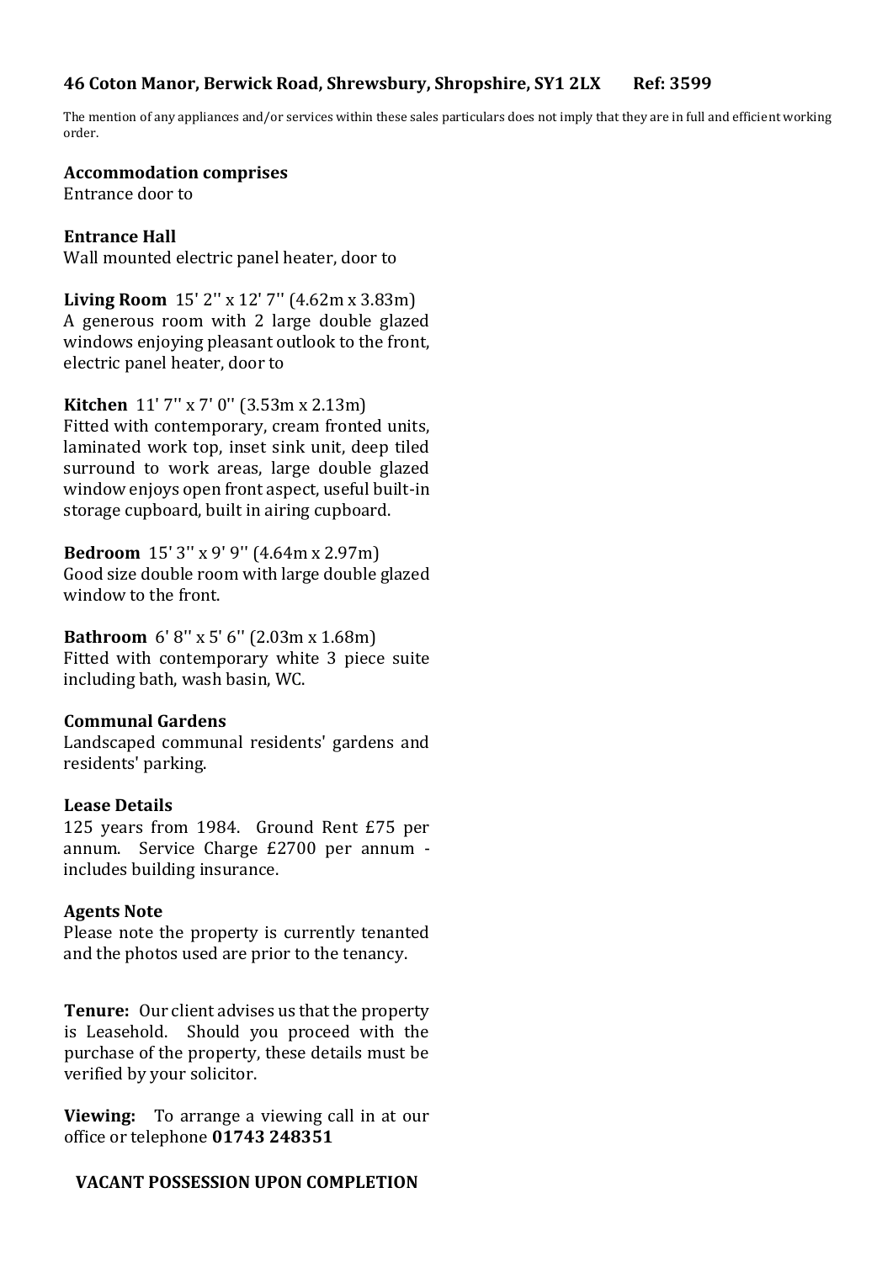## **46 Coton Manor, Berwick Road, Shrewsbury, Shropshire, SY1 2LX Ref: 3599**

The mention of any appliances and/or services within these sales particulars does not imply that they are in full and efficient working order.

#### **Accommodation comprises**

Entrance door to

#### **Entrance Hall**

Wall mounted electric panel heater, door to

**Living Room** 15' 2'' x 12' 7'' (4.62m x 3.83m) A generous room with 2 large double glazed windows enjoying pleasant outlook to the front, electric panel heater, door to

**Kitchen** 11' 7'' x 7' 0'' (3.53m x 2.13m)

Fitted with contemporary, cream fronted units, laminated work top, inset sink unit, deep tiled surround to work areas, large double glazed window enjoys open front aspect, useful built-in storage cupboard, built in airing cupboard.

**Bedroom** 15' 3'' x 9' 9'' (4.64m x 2.97m)

Good size double room with large double glazed window to the front.

**Bathroom** 6' 8'' x 5' 6'' (2.03m x 1.68m) Fitted with contemporary white 3 piece suite including bath, wash basin, WC.

#### **Communal Gardens**

Landscaped communal residents' gardens and residents' parking.

#### **Lease Details**

125 years from 1984. Ground Rent £75 per annum. Service Charge £2700 per annum includes building insurance.

#### **Agents Note**

Please note the property is currently tenanted and the photos used are prior to the tenancy.

**Tenure:** Our client advises us that the property is Leasehold. Should you proceed with the purchase of the property, these details must be verified by your solicitor.

**Viewing:** To arrange a viewing call in at our office or telephone **01743 248351**

# **VACANT POSSESSION UPON COMPLETION**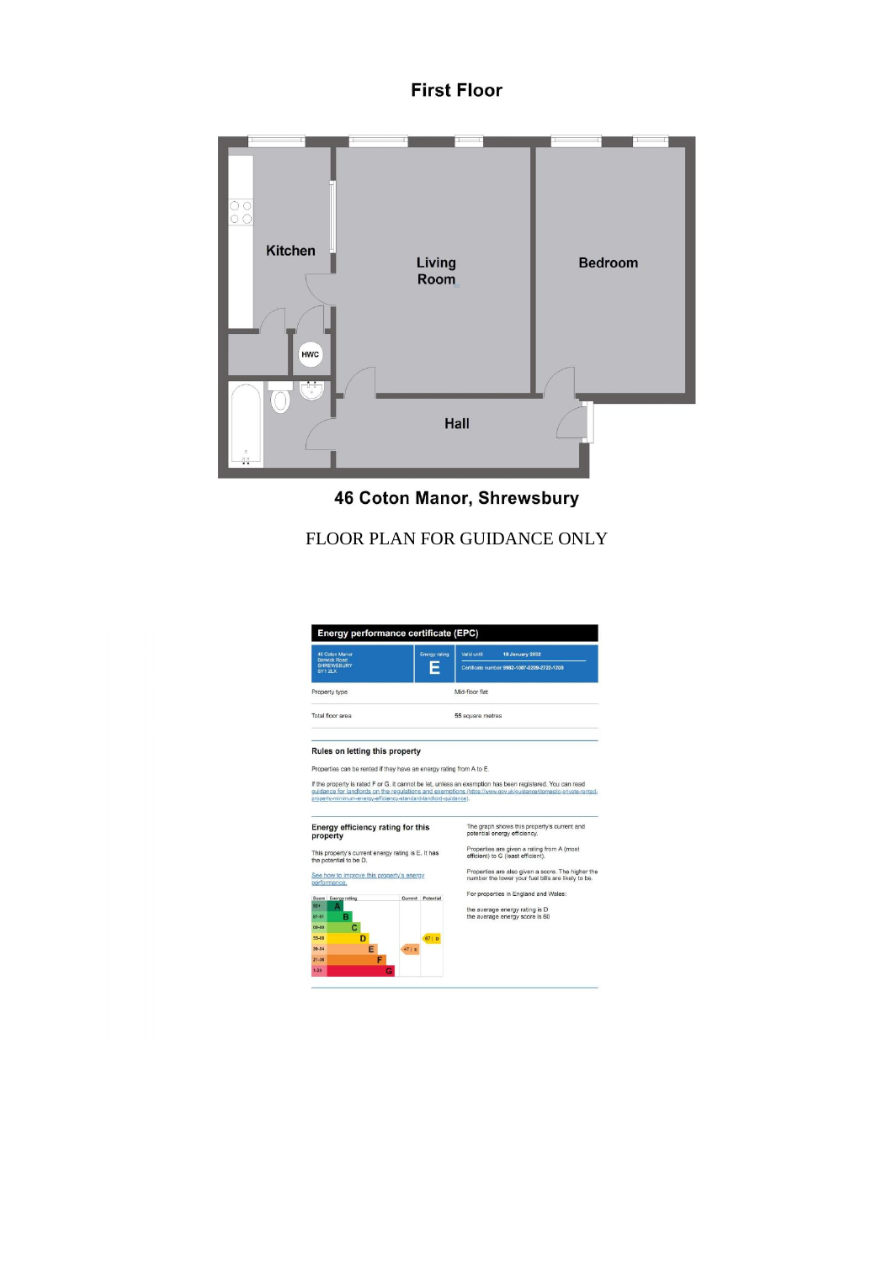#### **First Floor**



46 Coton Manor, Shrewsbury

# FLOOR PLAN FOR GUIDANCE ONLY



Properties can be rented if they have an energy rating from A to E.

If the property is rated F or G, it cannot be let, unless an exemption has been registered. You can read<br>guidance for landords on the regulations and exemptions kntrax/heroacontrolectrical properties for exemption and prop



The graph shows this property's current and<br>potential energy efficiency. Properties are given a rating from A (most<br>efficient) to G (least efficient).

Properties are also given a score. The higher the<br>number the lower your fuel bills are likely to be.

For properties in England and Wales:

the average energy rating is D<br>the average energy score is 60